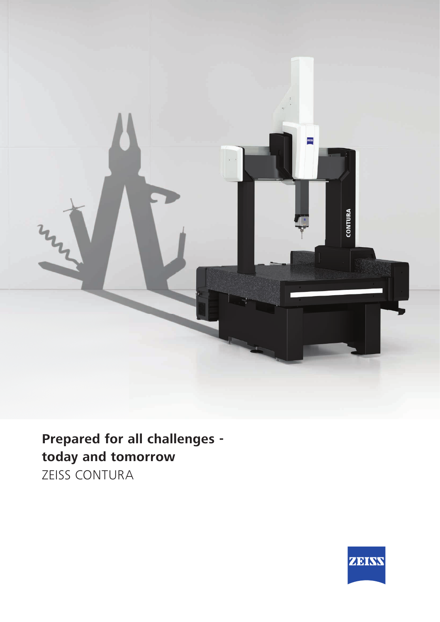

**Prepared for all challenges today and tomorrow** ZEISS CONTURA

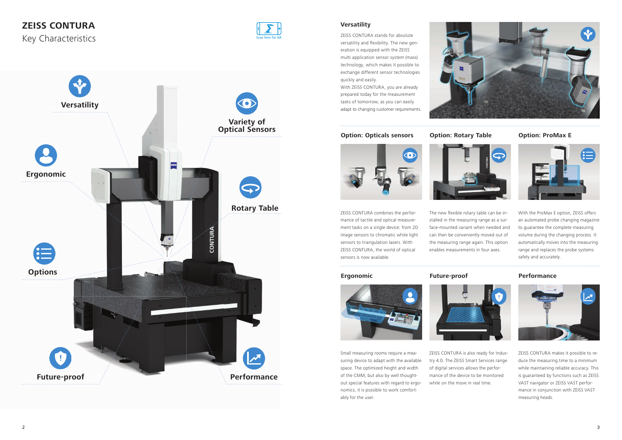

### **Ergonomic Future-proof Performance**



## **ZEISS CONTURA**

Key Characteristics





## **Versatility**

### **Option: Rotary Table Option: ProMax E**



Small measuring rooms require a measuring device to adapt with the available space. The optimized height and width of the CMM, but also by well thoughtout special features with regard to ergonomics, it is possible to work comfortably for the user.



ZEISS CONTURA combines the performance of tactile and optical measurement tasks on a single device: from 2D image sensors to chromatic white light sensors to triangulation lasers. With ZEISS CONTURA, the world of optical sensors is now available.

The new flexible rotary table can be installed in the measuring range as a surface-mounted variant when needed and can then be conveniently moved out of the measuring range again. This option enables measurements in four axes.

ZEISS CONTURA is also ready for Indus-



try 4.0. The ZEISS Smart Services range of digital services allows the performance of the device to be monitored while on the move in real time.



With the ProMax E option, ZEISS offers an automated probe changing magazine to guarantee the complete measuring volume during the changing process. It automatically moves into the measuring range and replaces the probe systems safely and accurately.

ZEISS CONTURA makes it possible to reduce the measuring time to a minimum while maintaining reliable accuracy. This is guaranteed by functions such as ZEISS VAST navigator or ZEISS VAST performance in conjunction with ZEISS VAST measuring heads.



ZEISS CONTURA stands for absolute versatility and flexibility. The new generation is equipped with the ZEISS multi application sensor system (mass) technology, which makes it possible to exchange different sensor technologies quickly and easily.

With ZEISS CONTURA, you are already prepared today for the measurement tasks of tomorrow, as you can easily adapt to changing customer requirements.